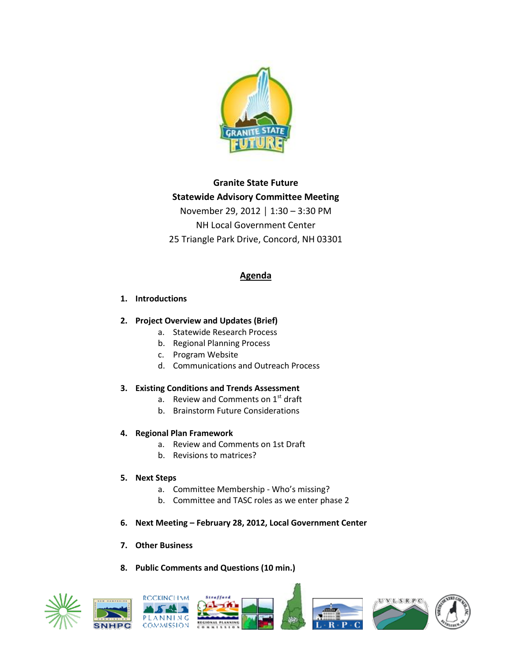

# **Granite State Future Statewide Advisory Committee Meeting** November 29, 2012 │ 1:30 – 3:30 PM NH Local Government Center 25 Triangle Park Drive, Concord, NH 03301

# **Agenda**

### **1. Introductions**

# **2. Project Overview and Updates (Brief)**

- a. Statewide Research Process
- b. Regional Planning Process
- c. Program Website
- d. Communications and Outreach Process

### **3. Existing Conditions and Trends Assessment**

- a. Review and Comments on  $1<sup>st</sup>$  draft
- b. Brainstorm Future Considerations

# **4. Regional Plan Framework**

- a. Review and Comments on 1st Draft
- b. Revisions to matrices?

### **5. Next Steps**

- a. Committee Membership Who's missing?
- b. Committee and TASC roles as we enter phase 2
- **6. Next Meeting – February 28, 2012, Local Government Center**

# **7. Other Business**

# **8. Public Comments and Questions (10 min.)**

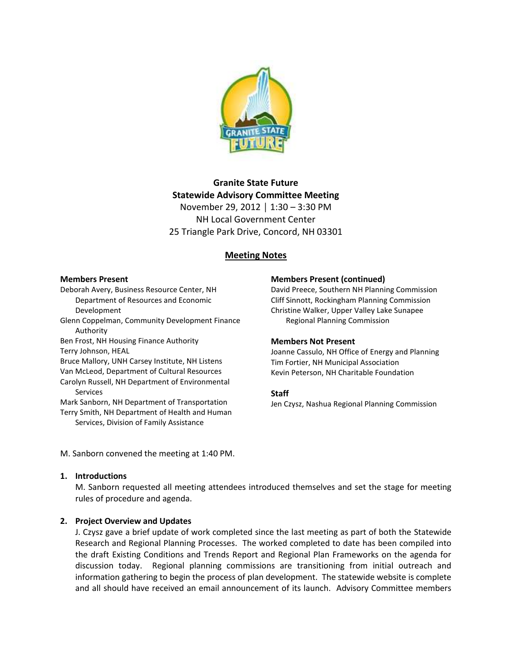

# **Granite State Future Statewide Advisory Committee Meeting** November 29, 2012 │ 1:30 – 3:30 PM NH Local Government Center 25 Triangle Park Drive, Concord, NH 03301

### **Meeting Notes**

#### **Members Present**

Deborah Avery, Business Resource Center, NH Department of Resources and Economic Development

Glenn Coppelman, Community Development Finance Authority

Ben Frost, NH Housing Finance Authority Terry Johnson, HEAL

Bruce Mallory, UNH Carsey Institute, NH Listens Van McLeod, Department of Cultural Resources Carolyn Russell, NH Department of Environmental Services

Mark Sanborn, NH Department of Transportation Terry Smith, NH Department of Health and Human Services, Division of Family Assistance

#### **Members Present (continued)**

David Preece, Southern NH Planning Commission Cliff Sinnott, Rockingham Planning Commission Christine Walker, Upper Valley Lake Sunapee Regional Planning Commission

#### **Members Not Present**

Joanne Cassulo, NH Office of Energy and Planning Tim Fortier, NH Municipal Association Kevin Peterson, NH Charitable Foundation

### **Staff**

Jen Czysz, Nashua Regional Planning Commission

M. Sanborn convened the meeting at 1:40 PM.

#### **1. Introductions**

M. Sanborn requested all meeting attendees introduced themselves and set the stage for meeting rules of procedure and agenda.

### **2. Project Overview and Updates**

J. Czysz gave a brief update of work completed since the last meeting as part of both the Statewide Research and Regional Planning Processes. The worked completed to date has been compiled into the draft Existing Conditions and Trends Report and Regional Plan Frameworks on the agenda for discussion today. Regional planning commissions are transitioning from initial outreach and information gathering to begin the process of plan development. The statewide website is complete and all should have received an email announcement of its launch. Advisory Committee members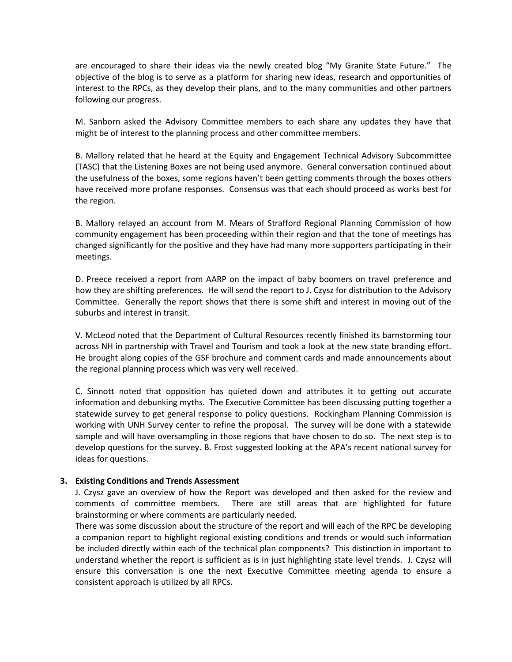are encouraged to share their ideas via the newly created blog "My Granite State Future." The objective of the blog is to serve as a platform for sharing new ideas, research and opportunities of interest to the RPCs, as they develop their plans, and to the many communities and other partners following our progress.

M. Sanborn asked the Advisory Committee members to each share any updates they have that might be of interest to the planning process and other committee members.

B. Mallory related that he heard at the Equity and Engagement Technical Advisory Subcommittee (TASC) that the Listening Boxes are not being used anymore. General conversation continued about the usefulness of the boxes, some regions haven't been getting comments through the boxes others have received more profane responses. Consensus was that each should proceed as works best for the region.

B. Mallory relayed an account from M. Mears of Strafford Regional Planning Commission of how community engagement has been proceeding within their region and that the tone of meetings has changed significantly for the positive and they have had many more supporters participating in their meetings.

D. Preece received a report from AARP on the impact of baby boomers on travel preference and how they are shifting preferences. He will send the report to J. Czysz for distribution to the Advisory Committee. Generally the report shows that there is some shift and interest in moving out of the suburbs and interest in transit.

V. McLeod noted that the Department of Cultural Resources recently finished its barnstorming tour across NH in partnership with Travel and Tourism and took a look at the new state branding effort. He brought along copies of the GSF brochure and comment cards and made announcements about the regional planning process which was very well received.

C. Sinnott noted that opposition has quieted down and attributes it to getting out accurate information and debunking myths. The Executive Committee has been discussing putting together a statewide survey to get general response to policy questions. Rockingham Planning Commission is working with UNH Survey center to refine the proposal. The survey will be done with a statewide sample and will have oversampling in those regions that have chosen to do so. The next step is to develop questions for the survey. B. Frost suggested looking at the APA's recent national survey for ideas for questions.

### **3. Existing Conditions and Trends Assessment**

J. Czysz gave an overview of how the Report was developed and then asked for the review and comments of committee members. There are still areas that are highlighted for future brainstorming or where comments are particularly needed.

There was some discussion about the structure of the report and will each of the RPC be developing a companion report to highlight regional existing conditions and trends or would such information be included directly within each of the technical plan components? This distinction in important to understand whether the report is sufficient as is in just highlighting state level trends. J. Czysz will ensure this conversation is one the next Executive Committee meeting agenda to ensure a consistent approach is utilized by all RPCs.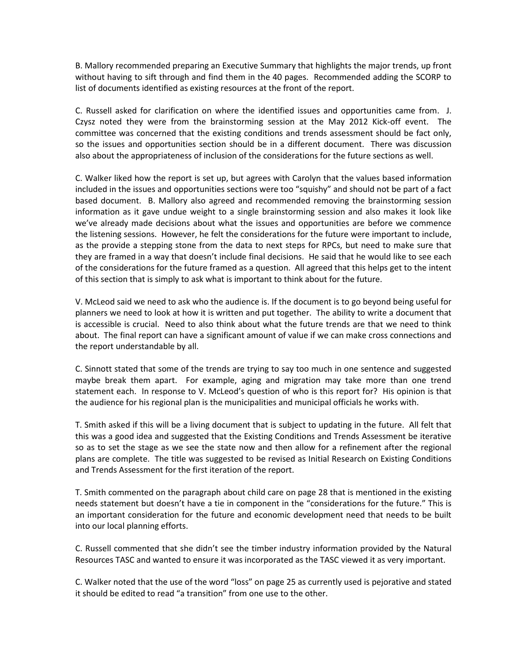B. Mallory recommended preparing an Executive Summary that highlights the major trends, up front without having to sift through and find them in the 40 pages. Recommended adding the SCORP to list of documents identified as existing resources at the front of the report.

C. Russell asked for clarification on where the identified issues and opportunities came from. J. Czysz noted they were from the brainstorming session at the May 2012 Kick-off event. The committee was concerned that the existing conditions and trends assessment should be fact only, so the issues and opportunities section should be in a different document. There was discussion also about the appropriateness of inclusion of the considerations for the future sections as well.

C. Walker liked how the report is set up, but agrees with Carolyn that the values based information included in the issues and opportunities sections were too "squishy" and should not be part of a fact based document. B. Mallory also agreed and recommended removing the brainstorming session information as it gave undue weight to a single brainstorming session and also makes it look like we've already made decisions about what the issues and opportunities are before we commence the listening sessions. However, he felt the considerations for the future were important to include, as the provide a stepping stone from the data to next steps for RPCs, but need to make sure that they are framed in a way that doesn't include final decisions. He said that he would like to see each of the considerations for the future framed as a question. All agreed that this helps get to the intent of this section that is simply to ask what is important to think about for the future.

V. McLeod said we need to ask who the audience is. If the document is to go beyond being useful for planners we need to look at how it is written and put together. The ability to write a document that is accessible is crucial. Need to also think about what the future trends are that we need to think about. The final report can have a significant amount of value if we can make cross connections and the report understandable by all.

C. Sinnott stated that some of the trends are trying to say too much in one sentence and suggested maybe break them apart. For example, aging and migration may take more than one trend statement each. In response to V. McLeod's question of who is this report for? His opinion is that the audience for his regional plan is the municipalities and municipal officials he works with.

T. Smith asked if this will be a living document that is subject to updating in the future. All felt that this was a good idea and suggested that the Existing Conditions and Trends Assessment be iterative so as to set the stage as we see the state now and then allow for a refinement after the regional plans are complete. The title was suggested to be revised as Initial Research on Existing Conditions and Trends Assessment for the first iteration of the report.

T. Smith commented on the paragraph about child care on page 28 that is mentioned in the existing needs statement but doesn't have a tie in component in the "considerations for the future." This is an important consideration for the future and economic development need that needs to be built into our local planning efforts.

C. Russell commented that she didn't see the timber industry information provided by the Natural Resources TASC and wanted to ensure it was incorporated as the TASC viewed it as very important.

C. Walker noted that the use of the word "loss" on page 25 as currently used is pejorative and stated it should be edited to read "a transition" from one use to the other.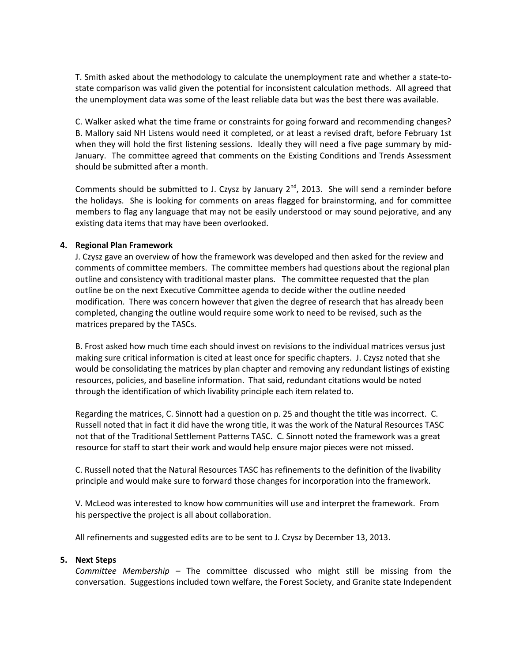T. Smith asked about the methodology to calculate the unemployment rate and whether a state-tostate comparison was valid given the potential for inconsistent calculation methods. All agreed that the unemployment data was some of the least reliable data but was the best there was available.

C. Walker asked what the time frame or constraints for going forward and recommending changes? B. Mallory said NH Listens would need it completed, or at least a revised draft, before February 1st when they will hold the first listening sessions. Ideally they will need a five page summary by mid-January. The committee agreed that comments on the Existing Conditions and Trends Assessment should be submitted after a month.

Comments should be submitted to J. Czysz by January  $2^{nd}$ , 2013. She will send a reminder before the holidays. She is looking for comments on areas flagged for brainstorming, and for committee members to flag any language that may not be easily understood or may sound pejorative, and any existing data items that may have been overlooked.

### **4. Regional Plan Framework**

J. Czysz gave an overview of how the framework was developed and then asked for the review and comments of committee members. The committee members had questions about the regional plan outline and consistency with traditional master plans. The committee requested that the plan outline be on the next Executive Committee agenda to decide wither the outline needed modification. There was concern however that given the degree of research that has already been completed, changing the outline would require some work to need to be revised, such as the matrices prepared by the TASCs.

B. Frost asked how much time each should invest on revisions to the individual matrices versus just making sure critical information is cited at least once for specific chapters. J. Czysz noted that she would be consolidating the matrices by plan chapter and removing any redundant listings of existing resources, policies, and baseline information. That said, redundant citations would be noted through the identification of which livability principle each item related to.

Regarding the matrices, C. Sinnott had a question on p. 25 and thought the title was incorrect. C. Russell noted that in fact it did have the wrong title, it was the work of the Natural Resources TASC not that of the Traditional Settlement Patterns TASC. C. Sinnott noted the framework was a great resource for staff to start their work and would help ensure major pieces were not missed.

C. Russell noted that the Natural Resources TASC has refinements to the definition of the livability principle and would make sure to forward those changes for incorporation into the framework.

V. McLeod was interested to know how communities will use and interpret the framework. From his perspective the project is all about collaboration.

All refinements and suggested edits are to be sent to J. Czysz by December 13, 2013.

### **5. Next Steps**

*Committee Membership –* The committee discussed who might still be missing from the conversation. Suggestions included town welfare, the Forest Society, and Granite state Independent